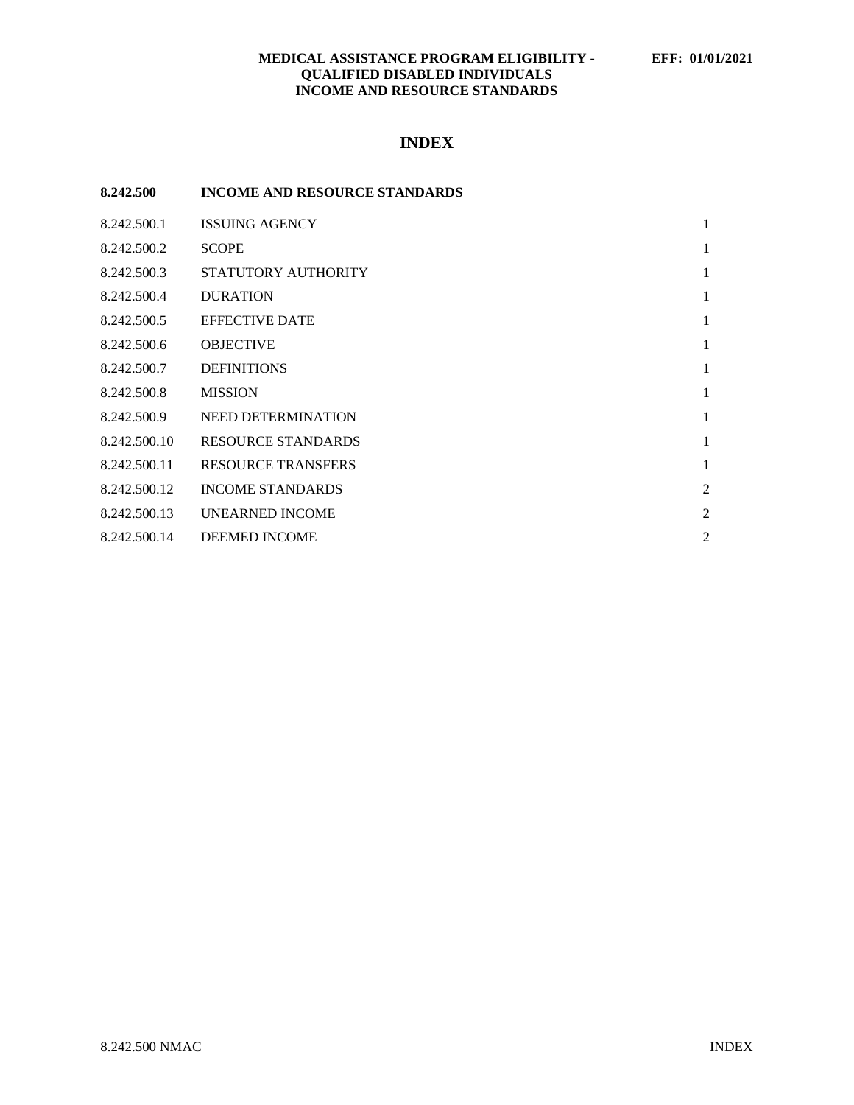# **MEDICAL ASSISTANCE PROGRAM ELIGIBILITY - EFF: 01/01/2021 QUALIFIED DISABLED INDIVIDUALS INCOME AND RESOURCE STANDARDS**

# **INDEX**

| 8.242.500    | <b>INCOME AND RESOURCE STANDARDS</b> |                |
|--------------|--------------------------------------|----------------|
| 8.242.500.1  | <b>ISSUING AGENCY</b>                | $\mathbf{1}$   |
| 8.242.500.2  | <b>SCOPE</b>                         | 1              |
| 8.242.500.3  | STATUTORY AUTHORITY                  | 1              |
| 8.242.500.4  | <b>DURATION</b>                      | 1              |
| 8.242.500.5  | <b>EFFECTIVE DATE</b>                | 1              |
| 8.242.500.6  | <b>OBJECTIVE</b>                     | 1              |
| 8.242.500.7  | <b>DEFINITIONS</b>                   | 1              |
| 8.242.500.8  | <b>MISSION</b>                       | 1              |
| 8.242.500.9  | <b>NEED DETERMINATION</b>            | 1              |
| 8.242.500.10 | <b>RESOURCE STANDARDS</b>            | 1              |
| 8.242.500.11 | <b>RESOURCE TRANSFERS</b>            | 1              |
| 8.242.500.12 | <b>INCOME STANDARDS</b>              | $\overline{2}$ |
| 8.242.500.13 | <b>UNEARNED INCOME</b>               | $\overline{2}$ |
| 8.242.500.14 | <b>DEEMED INCOME</b>                 | $\overline{c}$ |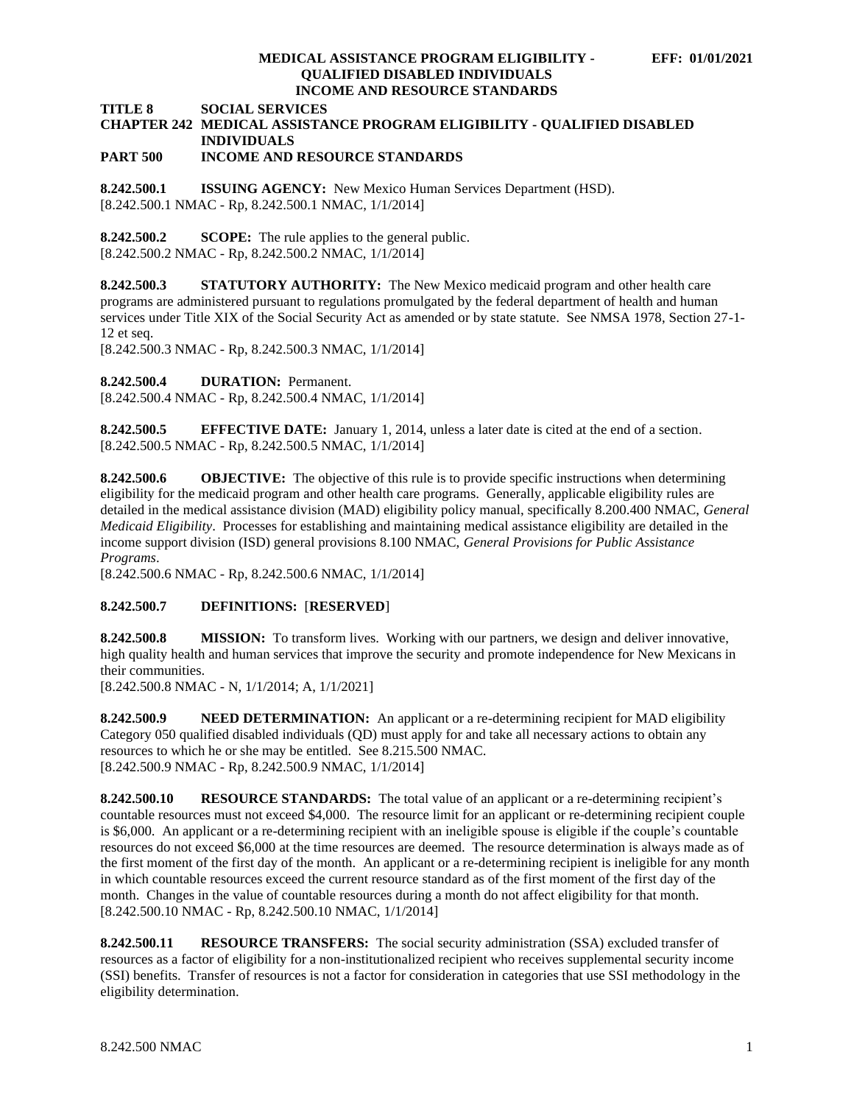### **MEDICAL ASSISTANCE PROGRAM ELIGIBILITY - EFF: 01/01/2021 QUALIFIED DISABLED INDIVIDUALS INCOME AND RESOURCE STANDARDS**

**TITLE 8 SOCIAL SERVICES**

# **CHAPTER 242 MEDICAL ASSISTANCE PROGRAM ELIGIBILITY - QUALIFIED DISABLED INDIVIDUALS**

# **PART 500 INCOME AND RESOURCE STANDARDS**

<span id="page-1-0"></span>**8.242.500.1 ISSUING AGENCY:** New Mexico Human Services Department (HSD). [8.242.500.1 NMAC - Rp, 8.242.500.1 NMAC, 1/1/2014]

<span id="page-1-1"></span>**8.242.500.2 SCOPE:** The rule applies to the general public. [8.242.500.2 NMAC - Rp, 8.242.500.2 NMAC, 1/1/2014]

<span id="page-1-2"></span>**8.242.500.3 STATUTORY AUTHORITY:** The New Mexico medicaid program and other health care programs are administered pursuant to regulations promulgated by the federal department of health and human services under Title XIX of the Social Security Act as amended or by state statute. See NMSA 1978, Section 27-1- 12 et seq.

[8.242.500.3 NMAC - Rp, 8.242.500.3 NMAC, 1/1/2014]

<span id="page-1-3"></span>**8.242.500.4 DURATION:** Permanent.

[8.242.500.4 NMAC - Rp, 8.242.500.4 NMAC, 1/1/2014]

<span id="page-1-4"></span>**8.242.500.5 EFFECTIVE DATE:** January 1, 2014, unless a later date is cited at the end of a section. [8.242.500.5 NMAC - Rp, 8.242.500.5 NMAC, 1/1/2014]

<span id="page-1-5"></span>**8.242.500.6 OBJECTIVE:** The objective of this rule is to provide specific instructions when determining eligibility for the medicaid program and other health care programs. Generally, applicable eligibility rules are detailed in the medical assistance division (MAD) eligibility policy manual, specifically 8.200.400 NMAC, *General Medicaid Eligibility*. Processes for establishing and maintaining medical assistance eligibility are detailed in the income support division (ISD) general provisions 8.100 NMAC, *General Provisions for Public Assistance Programs*.

[8.242.500.6 NMAC - Rp, 8.242.500.6 NMAC, 1/1/2014]

# <span id="page-1-6"></span>**8.242.500.7 DEFINITIONS:** [**RESERVED**]

<span id="page-1-7"></span>**8.242.500.8 MISSION:** To transform lives. Working with our partners, we design and deliver innovative, high quality health and human services that improve the security and promote independence for New Mexicans in their communities.

[8.242.500.8 NMAC - N, 1/1/2014; A, 1/1/2021]

<span id="page-1-8"></span>**8.242.500.9 NEED DETERMINATION:** An applicant or a re-determining recipient for MAD eligibility Category 050 qualified disabled individuals (QD) must apply for and take all necessary actions to obtain any resources to which he or she may be entitled. See 8.215.500 NMAC. [8.242.500.9 NMAC - Rp, 8.242.500.9 NMAC, 1/1/2014]

<span id="page-1-9"></span>**8.242.500.10 RESOURCE STANDARDS:** The total value of an applicant or a re-determining recipient's countable resources must not exceed \$4,000. The resource limit for an applicant or re-determining recipient couple is \$6,000. An applicant or a re-determining recipient with an ineligible spouse is eligible if the couple's countable resources do not exceed \$6,000 at the time resources are deemed. The resource determination is always made as of the first moment of the first day of the month. An applicant or a re-determining recipient is ineligible for any month in which countable resources exceed the current resource standard as of the first moment of the first day of the month. Changes in the value of countable resources during a month do not affect eligibility for that month. [8.242.500.10 NMAC - Rp, 8.242.500.10 NMAC, 1/1/2014]

<span id="page-1-10"></span>**8.242.500.11 RESOURCE TRANSFERS:** The social security administration (SSA) excluded transfer of resources as a factor of eligibility for a non-institutionalized recipient who receives supplemental security income (SSI) benefits. Transfer of resources is not a factor for consideration in categories that use SSI methodology in the eligibility determination.